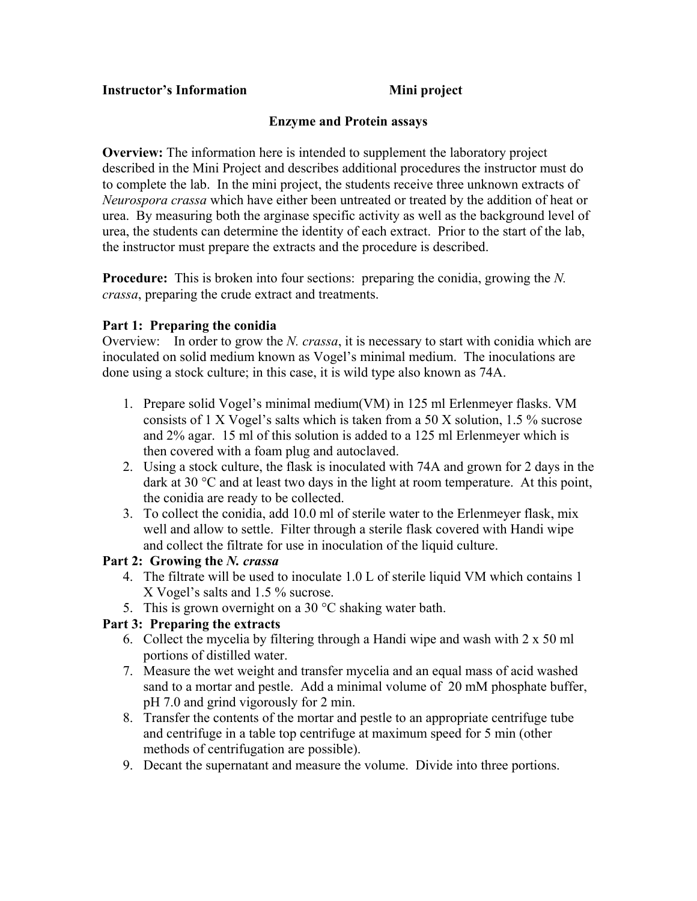#### **Instructor's Information** Mini project

## **Enzyme and Protein assays**

**Overview:** The information here is intended to supplement the laboratory project described in the Mini Project and describes additional procedures the instructor must do to complete the lab. In the mini project, the students receive three unknown extracts of *Neurospora crassa* which have either been untreated or treated by the addition of heat or urea. By measuring both the arginase specific activity as well as the background level of urea, the students can determine the identity of each extract. Prior to the start of the lab, the instructor must prepare the extracts and the procedure is described.

**Procedure:** This is broken into four sections: preparing the conidia, growing the *N*. *crassa*, preparing the crude extract and treatments.

## **Part 1: Preparing the conidia**

Overview: In order to grow the *N. crassa*, it is necessary to start with conidia which are inoculated on solid medium known as Vogel's minimal medium. The inoculations are done using a stock culture; in this case, it is wild type also known as 74A.

- 1. Prepare solid Vogel's minimal medium(VM) in 125 ml Erlenmeyer flasks. VM consists of 1 X Vogel's salts which is taken from a 50 X solution, 1.5 % sucrose and 2% agar. 15 ml of this solution is added to a 125 ml Erlenmeyer which is then covered with a foam plug and autoclaved.
- 2. Using a stock culture, the flask is inoculated with 74A and grown for 2 days in the dark at 30 °C and at least two days in the light at room temperature. At this point, the conidia are ready to be collected.
- 3. To collect the conidia, add 10.0 ml of sterile water to the Erlenmeyer flask, mix well and allow to settle. Filter through a sterile flask covered with Handi wipe and collect the filtrate for use in inoculation of the liquid culture.

#### **Part 2: Growing the** *N. crassa*

- 4. The filtrate will be used to inoculate 1.0 L of sterile liquid VM which contains 1 X Vogel's salts and 1.5 % sucrose.
- 5. This is grown overnight on a 30  $^{\circ}$ C shaking water bath.

# **Part 3: Preparing the extracts**

- 6. Collect the mycelia by filtering through a Handi wipe and wash with 2 x 50 ml portions of distilled water.
- 7. Measure the wet weight and transfer mycelia and an equal mass of acid washed sand to a mortar and pestle. Add a minimal volume of 20 mM phosphate buffer, pH 7.0 and grind vigorously for 2 min.
- 8. Transfer the contents of the mortar and pestle to an appropriate centrifuge tube and centrifuge in a table top centrifuge at maximum speed for 5 min (other methods of centrifugation are possible).
- 9. Decant the supernatant and measure the volume. Divide into three portions.